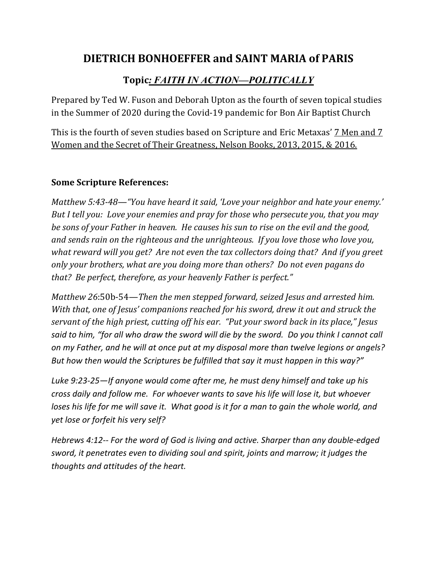## **DIETRICH BONHOEFFER and SAINT MARIA of PARIS**

## Topic<u>*:* FAITH IN ACTION—POLITICALLY</u>

Prepared by Ted W. Fuson and Deborah Upton as the fourth of seven topical studies in the Summer of 2020 during the Covid-19 pandemic for Bon Air Baptist Church

This is the fourth of seven studies based on Scripture and Eric Metaxas' 7 Men and 7 Women and the Secret of Their Greatness, Nelson Books, 2013, 2015, & 2016.

## **Some Scripture References:**

*Matthew* 5:43-48—"You have heard it said, 'Love your neighbor and hate your enemy.' *But I tell you: Love your enemies and pray for those who persecute you, that you may be sons of your Father in heaven. He causes his sun to rise on the evil and the good,* and sends rain on the righteous and the unrighteous. If you love those who love you, what reward will you get? Are not even the tax collectors doing that? And if you greet only your brothers, what are you doing more than others? Do not even pagans do that? Be perfect, therefore, as your heavenly Father is perfect."

*Matthew* 26:50b-54—*Then the men stepped forward, seized Jesus and arrested him. With that, one of Jesus' companions reached for his sword, drew it out and struck the servant of the high priest, cutting off his ear.* "Put your sword back in its place," Jesus *said to him, "for all who draw the sword will die by the sword. Do you think I cannot call on my Father, and he will at once put at my disposal more than twelve legions or angels? But how then would the Scriptures be fulfilled that say it must happen in this way?"*

*Luke 9:23-25—If anyone would come after me, he must deny himself and take up his cross daily and follow me. For whoever wants to save his life will lose it, but whoever loses his life for me will save it. What good is it for a man to gain the whole world, and yet lose or forfeit his very self?*

*Hebrews 4:12-- For the word of God is living and active. Sharper than any double-edged sword, it penetrates even to dividing soul and spirit, joints and marrow; it judges the thoughts and attitudes of the heart.*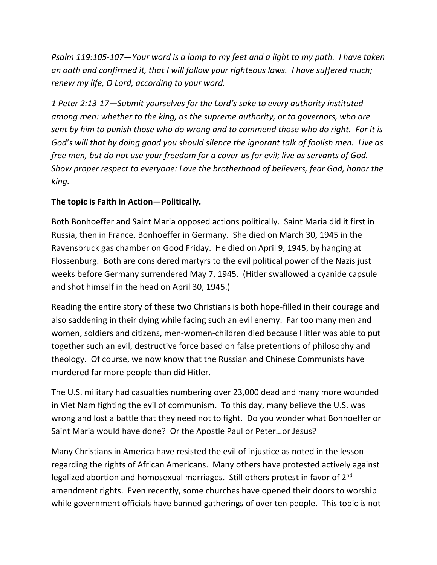*Psalm 119:105-107—Your word is a lamp to my feet and a light to my path. I have taken an oath and confirmed it, that I will follow your righteous laws. I have suffered much; renew my life, O Lord, according to your word.*

*1 Peter 2:13-17—Submit yourselves for the Lord's sake to every authority instituted among men: whether to the king, as the supreme authority, or to governors, who are sent by him to punish those who do wrong and to commend those who do right. For it is God's will that by doing good you should silence the ignorant talk of foolish men. Live as free men, but do not use your freedom for a cover-us for evil; live as servants of God. Show proper respect to everyone: Love the brotherhood of believers, fear God, honor the king.*

## **The topic is Faith in Action—Politically.**

Both Bonhoeffer and Saint Maria opposed actions politically. Saint Maria did it first in Russia, then in France, Bonhoeffer in Germany. She died on March 30, 1945 in the Ravensbruck gas chamber on Good Friday. He died on April 9, 1945, by hanging at Flossenburg. Both are considered martyrs to the evil political power of the Nazis just weeks before Germany surrendered May 7, 1945. (Hitler swallowed a cyanide capsule and shot himself in the head on April 30, 1945.)

Reading the entire story of these two Christians is both hope-filled in their courage and also saddening in their dying while facing such an evil enemy. Far too many men and women, soldiers and citizens, men-women-children died because Hitler was able to put together such an evil, destructive force based on false pretentions of philosophy and theology. Of course, we now know that the Russian and Chinese Communists have murdered far more people than did Hitler.

The U.S. military had casualties numbering over 23,000 dead and many more wounded in Viet Nam fighting the evil of communism. To this day, many believe the U.S. was wrong and lost a battle that they need not to fight. Do you wonder what Bonhoeffer or Saint Maria would have done? Or the Apostle Paul or Peter…or Jesus?

Many Christians in America have resisted the evil of injustice as noted in the lesson regarding the rights of African Americans. Many others have protested actively against legalized abortion and homosexual marriages. Still others protest in favor of 2<sup>nd</sup> amendment rights. Even recently, some churches have opened their doors to worship while government officials have banned gatherings of over ten people. This topic is not